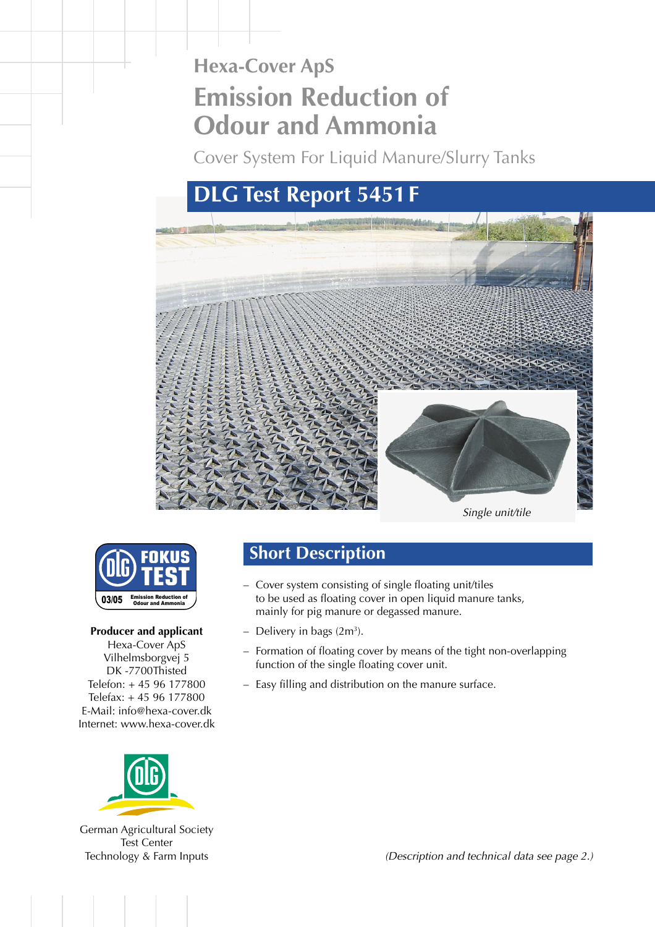# **Hexa-Cover ApS Emission Reduction of Odour and Ammonia**

Cover System For Liquid Manure/Slurry Tanks

## **DLG Test Report 5451F**





#### **Producer and applicant**

Hexa-Cover ApS Vilhelmsborgvej 5 DK -7700Thisted Telefon: + 45 96 177800 Telefax: + 45 96 177800 E-Mail: info@hexa-cover.dk Internet: www.hexa-cover.dk



[German Agricultural Society](http://www.dlg-test.de) Test Center Technology & Farm Inputs

### **Short Description**

- Cover system consisting of single floating unit/tiles to be used as floating cover in open liquid manure tanks, mainly for pig manure or degassed manure.
- $-$  Delivery in bags  $(2m<sup>3</sup>)$ .
- Formation of floating cover by means of the tight non-overlapping function of the single floating cover unit.
- Easy filling and distribution on the manure surface.

(Description and technical data see page 2.)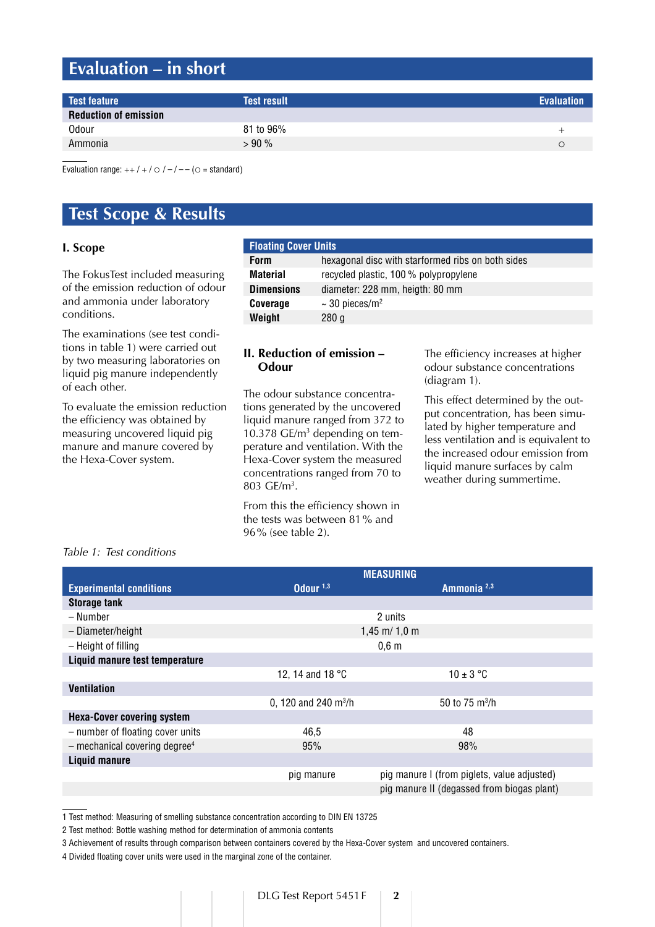## **Evaluation – in short**

| Test feature                 | <b>Test result</b> | <b>Evaluation</b> |
|------------------------------|--------------------|-------------------|
| <b>Reduction of emission</b> |                    |                   |
| <b>Odour</b>                 | 81 to 96%          |                   |
| Ammonia                      | $>90\%$            |                   |
|                              |                    |                   |

Evaluation range:  $++/+/-$  /  $\bigcirc$  /  $-/-$  ( $\bigcirc$  = standard)

### **Test Scope & Results**

#### **I. Scope**

The FokusTest included measuring of the emission reduction of odour and ammonia under laboratory conditions.

The examinations (see test conditions in table 1) were carried out by two measuring laboratories on liquid pig manure independently of each other.

To evaluate the emission reduction the efficiency was obtained by measuring uncovered liquid pig manure and manure covered by the Hexa-Cover system.

| <b>Floating Cover Units</b> |                                                   |  |  |
|-----------------------------|---------------------------------------------------|--|--|
| <b>Form</b>                 | hexagonal disc with starformed ribs on both sides |  |  |
| <b>Material</b>             | recycled plastic, 100 % polypropylene             |  |  |
| <b>Dimensions</b>           | diameter: 228 mm, heigth: 80 mm                   |  |  |
| Coverage                    | $\sim$ 30 pieces/m <sup>2</sup>                   |  |  |
| Weight                      | 280q                                              |  |  |

#### **II. Reduction of emission – Odour**

The odour substance concentrations generated by the uncovered liquid manure ranged from 372 to 10.378 GE/m<sup>3</sup> depending on temperature and ventilation. With the Hexa-Cover system the measured concentrations ranged from 70 to 803 GE/m3 .

From this the efficiency shown in the tests was between 81% and 96% (see table 2).

The efficiency increases at higher odour substance concentrations (diagram 1).

This effect determined by the output concentration, has been simulated by higher temperature and less ventilation and is equivalent to the increased odour emission from liquid manure surfaces by calm weather during summertime.

#### Table 1: Test conditions

|                                             | <b>MEASURING</b>                     |                                             |  |
|---------------------------------------------|--------------------------------------|---------------------------------------------|--|
| <b>Experimental conditions</b>              | Odour <sup>1,3</sup>                 | Ammonia <sup>2,3</sup>                      |  |
| <b>Storage tank</b>                         |                                      |                                             |  |
| – Number                                    | 2 units                              |                                             |  |
| - Diameter/height                           | $1,45$ m/ $1,0$ m                    |                                             |  |
| - Height of filling                         | $0,6$ m                              |                                             |  |
| Liquid manure test temperature              |                                      |                                             |  |
|                                             | 12, 14 and 18 °C                     | $10 \pm 3$ °C                               |  |
| <b>Ventilation</b>                          |                                      |                                             |  |
|                                             | 0, 120 and 240 $\text{m}^3/\text{h}$ | 50 to 75 m <sup>3</sup> /h                  |  |
| <b>Hexa-Cover covering system</b>           |                                      |                                             |  |
| - number of floating cover units            | 46,5                                 | 48                                          |  |
| $-$ mechanical covering degree <sup>4</sup> | 95%                                  | 98%                                         |  |
| <b>Liquid manure</b>                        |                                      |                                             |  |
|                                             | pig manure                           | pig manure I (from piglets, value adjusted) |  |
|                                             |                                      | pig manure II (degassed from biogas plant)  |  |

1 Test method: Measuring of smelling substance concentration according to DIN EN 13725

2 Test method: Bottle washing method for determination of ammonia contents

3 Achievement of results through comparison between containers covered by the Hexa-Cover system and uncovered containers.

4 Divided floating cover units were used in the marginal zone of the container.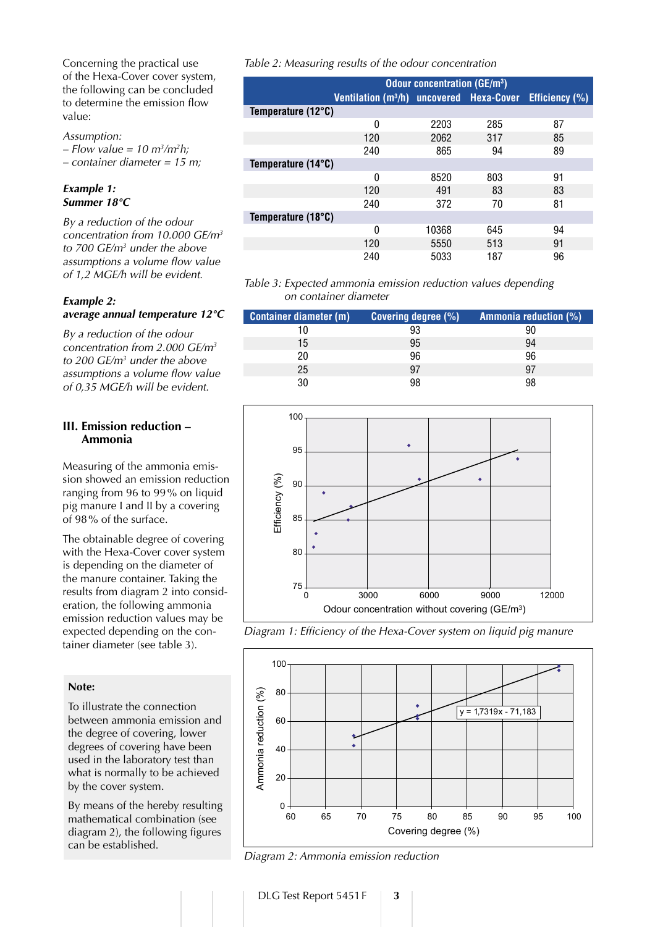Concerning the practical use of the Hexa-Cover cover system, the following can be concluded to determine the emission flow value:

#### Assumption:

– Flow value = 10 m<sup>3</sup>/m<sup>2</sup>h;

 $-$  container diameter = 15 m;

#### *Example 1: Summer 18°C*

By a reduction of the odour concentration from 10.000  $\text{GE/m}^3$ to  $700 \text{ GE/m}^3$  under the above assumptions a volume flow value of 1,2 MGE/h will be evident.

#### *Example 2: average annual temperature 12°C*

By a reduction of the odour concentration from 2.000 GE/m3 to 200  $GE/m<sup>3</sup>$  under the above assumptions a volume flow value of 0,35 MGE/h will be evident.

#### **III. Emission reduction – Ammonia**

Measuring of the ammonia emission showed an emission reduction ranging from 96 to 99% on liquid pig manure I and II by a covering of 98% of the surface.

The obtainable degree of covering with the Hexa-Cover cover system is depending on the diameter of the manure container. Taking the results from diagram 2 into consideration, the following ammonia emission reduction values may be expected depending on the container diameter (see table 3).

#### **Note:**

To illustrate the connection between ammonia emission and the degree of covering, lower degrees of covering have been used in the laboratory test than what is normally to be achieved by the cover system.

By means of the hereby resulting mathematical combination (see diagram 2), the following figures can be established.

Table 2: Measuring results of the odour concentration

|                             | <b>Odour concentration (GE/m<sup>3</sup>)</b>        |       |     |                       |
|-----------------------------|------------------------------------------------------|-------|-----|-----------------------|
|                             | Ventilation (m <sup>3</sup> /h) uncovered Hexa-Cover |       |     | <b>Efficiency</b> (%) |
| Temperature $(12^{\circ}C)$ |                                                      |       |     |                       |
|                             | 0                                                    | 2203  | 285 | 87                    |
|                             | 120                                                  | 2062  | 317 | 85                    |
|                             | 240                                                  | 865   | 94  | 89                    |
| Temperature (14°C)          |                                                      |       |     |                       |
|                             | 0                                                    | 8520  | 803 | 91                    |
|                             | 120                                                  | 491   | 83  | 83                    |
|                             | 240                                                  | 372   | 70  | 81                    |
| Temperature (18°C)          |                                                      |       |     |                       |
|                             | 0                                                    | 10368 | 645 | 94                    |
|                             | 120                                                  | 5550  | 513 | 91                    |
|                             | 240                                                  | 5033  | 187 | 96                    |

#### Table 3: Expected ammonia emission reduction values depending on container diameter

| <b>Container diameter (m)</b> | <b>Covering degree (%)</b> | Ammonia reduction (%) |
|-------------------------------|----------------------------|-----------------------|
| 10                            | 93                         |                       |
| 15                            | 95                         | 94                    |
| 20                            | 96                         | 96                    |
| 25                            | 97                         | 97                    |
| 30                            | 98                         |                       |







Diagram 2: Ammonia emission reduction